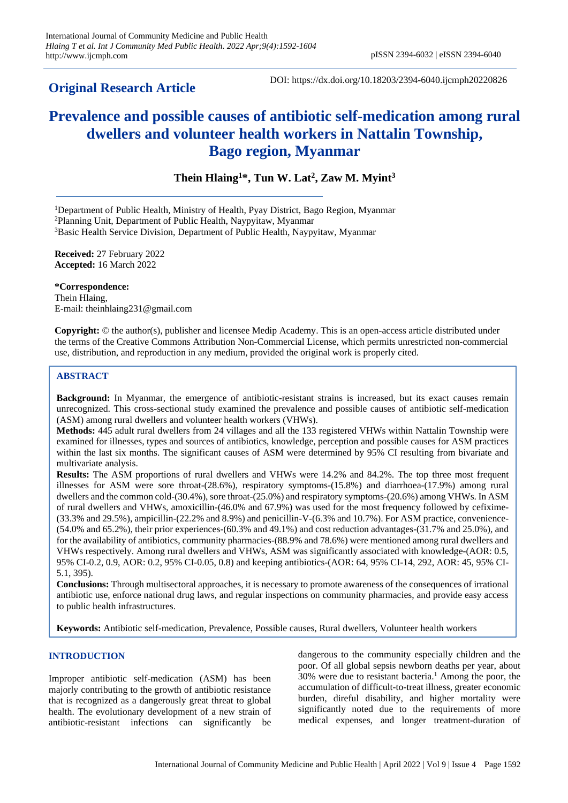## **Original Research Article**

DOI: https://dx.doi.org/10.18203/2394-6040.ijcmph20220826

# **Prevalence and possible causes of antibiotic self-medication among rural dwellers and volunteer health workers in Nattalin Township, Bago region, Myanmar**

**Thein Hlaing<sup>1</sup>\*, Tun W. Lat<sup>2</sup> , Zaw M. Myint<sup>3</sup>**

<sup>1</sup>Department of Public Health, Ministry of Health, Pyay District, Bago Region, Myanmar

<sup>2</sup>Planning Unit, Department of Public Health, Naypyitaw, Myanmar

<sup>3</sup>Basic Health Service Division, Department of Public Health, Naypyitaw, Myanmar

**Received:** 27 February 2022 **Accepted:** 16 March 2022

**\*Correspondence:** Thein Hlaing, E-mail: theinhlaing231@gmail.com

**Copyright:** © the author(s), publisher and licensee Medip Academy. This is an open-access article distributed under the terms of the Creative Commons Attribution Non-Commercial License, which permits unrestricted non-commercial use, distribution, and reproduction in any medium, provided the original work is properly cited.

## **ABSTRACT**

**Background:** In Myanmar, the emergence of antibiotic-resistant strains is increased, but its exact causes remain unrecognized. This cross-sectional study examined the prevalence and possible causes of antibiotic self-medication (ASM) among rural dwellers and volunteer health workers (VHWs).

**Methods:** 445 adult rural dwellers from 24 villages and all the 133 registered VHWs within Nattalin Township were examined for illnesses, types and sources of antibiotics, knowledge, perception and possible causes for ASM practices within the last six months. The significant causes of ASM were determined by 95% CI resulting from bivariate and multivariate analysis.

**Results:** The ASM proportions of rural dwellers and VHWs were 14.2% and 84.2%. The top three most frequent illnesses for ASM were sore throat-(28.6%), respiratory symptoms-(15.8%) and diarrhoea-(17.9%) among rural dwellers and the common cold-(30.4%), sore throat-(25.0%) and respiratory symptoms-(20.6%) among VHWs. In ASM of rural dwellers and VHWs, amoxicillin-(46.0% and 67.9%) was used for the most frequency followed by cefixime- (33.3% and 29.5%), ampicillin-(22.2% and 8.9%) and penicillin-V-(6.3% and 10.7%). For ASM practice, convenience- (54.0% and 65.2%), their prior experiences-(60.3% and 49.1%) and cost reduction advantages-(31.7% and 25.0%), and for the availability of antibiotics, community pharmacies-(88.9% and 78.6%) were mentioned among rural dwellers and VHWs respectively. Among rural dwellers and VHWs, ASM was significantly associated with knowledge-(AOR: 0.5, 95% CI-0.2, 0.9, AOR: 0.2, 95% CI-0.05, 0.8) and keeping antibiotics-(AOR: 64, 95% CI-14, 292, AOR: 45, 95% CI-5.1, 395).

**Conclusions:** Through multisectoral approaches, it is necessary to promote awareness of the consequences of irrational antibiotic use, enforce national drug laws, and regular inspections on community pharmacies, and provide easy access to public health infrastructures.

**Keywords:** Antibiotic self-medication, Prevalence, Possible causes, Rural dwellers, Volunteer health workers

## **INTRODUCTION**

Improper antibiotic self-medication (ASM) has been majorly contributing to the growth of antibiotic resistance that is recognized as a dangerously great threat to global health. The evolutionary development of a new strain of antibiotic-resistant infections can significantly be

dangerous to the community especially children and the poor. Of all global sepsis newborn deaths per year, about 30% were due to resistant bacteria. <sup>1</sup> Among the poor, the accumulation of difficult-to-treat illness, greater economic burden, direful disability, and higher mortality were significantly noted due to the requirements of more medical expenses, and longer treatment-duration of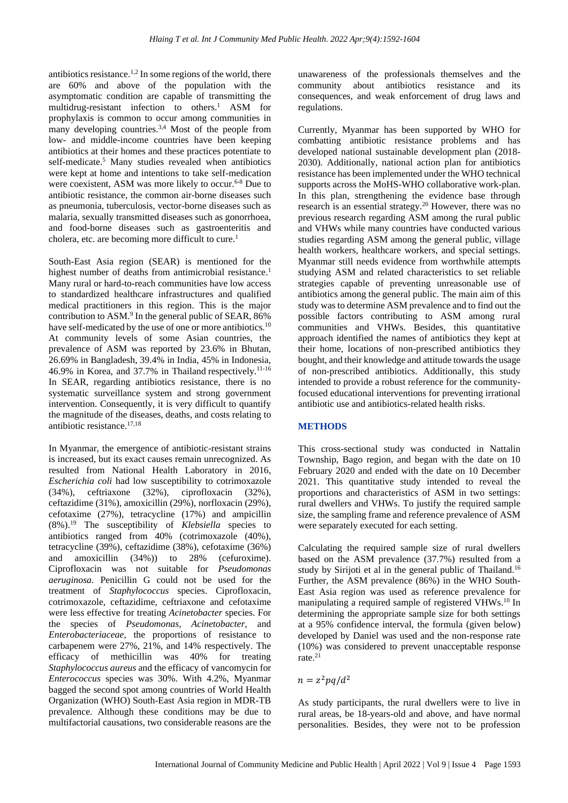antibiotics resistance.<sup>1,2</sup> In some regions of the world, there are 60% and above of the population with the asymptomatic condition are capable of transmitting the multidrug-resistant infection to others. <sup>1</sup> ASM for prophylaxis is common to occur among communities in many developing countries.<sup>3,4</sup> Most of the people from low- and middle-income countries have been keeping antibiotics at their homes and these practices potentiate to self-medicate. <sup>5</sup> Many studies revealed when antibiotics were kept at home and intentions to take self-medication were coexistent, ASM was more likely to occur.<sup>6-8</sup> Due to antibiotic resistance, the common air-borne diseases such as pneumonia, tuberculosis, vector-borne diseases such as malaria, sexually transmitted diseases such as gonorrhoea, and food-borne diseases such as gastroenteritis and cholera, etc. are becoming more difficult to cure. 1

South-East Asia region (SEAR) is mentioned for the highest number of deaths from antimicrobial resistance.<sup>1</sup> Many rural or hard-to-reach communities have low access to standardized healthcare infrastructures and qualified medical practitioners in this region. This is the major contribution to ASM. 9 In the general public of SEAR, 86% have self-medicated by the use of one or more antibiotics.<sup>10</sup> At community levels of some Asian countries, the prevalence of ASM was reported by 23.6% in Bhutan, 26.69% in Bangladesh, 39.4% in India, 45% in Indonesia, 46.9% in Korea, and 37.7% in Thailand respectively.<sup>11-16</sup> In SEAR, regarding antibiotics resistance, there is no systematic surveillance system and strong government intervention. Consequently, it is very difficult to quantify the magnitude of the diseases, deaths, and costs relating to antibiotic resistance. 17,18

In Myanmar, the emergence of antibiotic-resistant strains is increased, but its exact causes remain unrecognized. As resulted from National Health Laboratory in 2016, *Escherichia coli* had low susceptibility to cotrimoxazole (34%), ceftriaxone (32%), ciprofloxacin (32%), ceftazidime (31%), amoxicillin (29%), norfloxacin (29%), cefotaxime (27%), tetracycline (17%) and ampicillin (8%).<sup>19</sup> The susceptibility of *Klebsiella* species to antibiotics ranged from 40% (cotrimoxazole (40%), tetracycline (39%), ceftazidime (38%), cefotaxime (36%) and amoxicillin (34%)) to 28% (cefuroxime). Ciprofloxacin was not suitable for *Pseudomonas aeruginosa.* Penicillin G could not be used for the treatment of *Staphylococcus* species. Ciprofloxacin, cotrimoxazole, ceftazidime, ceftriaxone and cefotaxime were less effective for treating *Acinetobacter* species. For the species of *Pseudomonas, Acinetobacter,* and *Enterobacteriaceae,* the proportions of resistance to carbapenem were 27%, 21%, and 14% respectively. The efficacy of methicillin was 40% for treating *Staphylococcus aureus* and the efficacy of vancomycin for *Enterococcus* species was 30%. With 4.2%, Myanmar bagged the second spot among countries of World Health Organization (WHO) South-East Asia region in MDR-TB prevalence. Although these conditions may be due to multifactorial causations, two considerable reasons are the

unawareness of the professionals themselves and the community about antibiotics resistance and its consequences, and weak enforcement of drug laws and regulations.

Currently, Myanmar has been supported by WHO for combatting antibiotic resistance problems and has developed national sustainable development plan (2018- 2030). Additionally, national action plan for antibiotics resistance has been implemented under the WHO technical supports across the MoHS-WHO collaborative work-plan. In this plan, strengthening the evidence base through research is an essential strategy.<sup>20</sup> However, there was no previous research regarding ASM among the rural public and VHWs while many countries have conducted various studies regarding ASM among the general public, village health workers, healthcare workers, and special settings. Myanmar still needs evidence from worthwhile attempts studying ASM and related characteristics to set reliable strategies capable of preventing unreasonable use of antibiotics among the general public. The main aim of this study was to determine ASM prevalence and to find out the possible factors contributing to ASM among rural communities and VHWs. Besides, this quantitative approach identified the names of antibiotics they kept at their home, locations of non-prescribed antibiotics they bought, and their knowledge and attitude towards the usage of non-prescribed antibiotics. Additionally, this study intended to provide a robust reference for the communityfocused educational interventions for preventing irrational antibiotic use and antibiotics-related health risks.

## **METHODS**

This cross-sectional study was conducted in Nattalin Township, Bago region, and began with the date on 10 February 2020 and ended with the date on 10 December 2021. This quantitative study intended to reveal the proportions and characteristics of ASM in two settings: rural dwellers and VHWs. To justify the required sample size, the sampling frame and reference prevalence of ASM were separately executed for each setting.

Calculating the required sample size of rural dwellers based on the ASM prevalence (37.7%) resulted from a study by Sirijoti et al in the general public of Thailand.<sup>16</sup> Further, the ASM prevalence (86%) in the WHO South-East Asia region was used as reference prevalence for manipulating a required sample of registered VHWs.<sup>10</sup> In determining the appropriate sample size for both settings at a 95% confidence interval, the formula (given below) developed by Daniel was used and the non-response rate (10%) was considered to prevent unacceptable response rate.<sup>21</sup>

$$
n = z^2 pq/d^2
$$

As study participants, the rural dwellers were to live in rural areas, be 18-years-old and above, and have normal personalities. Besides, they were not to be profession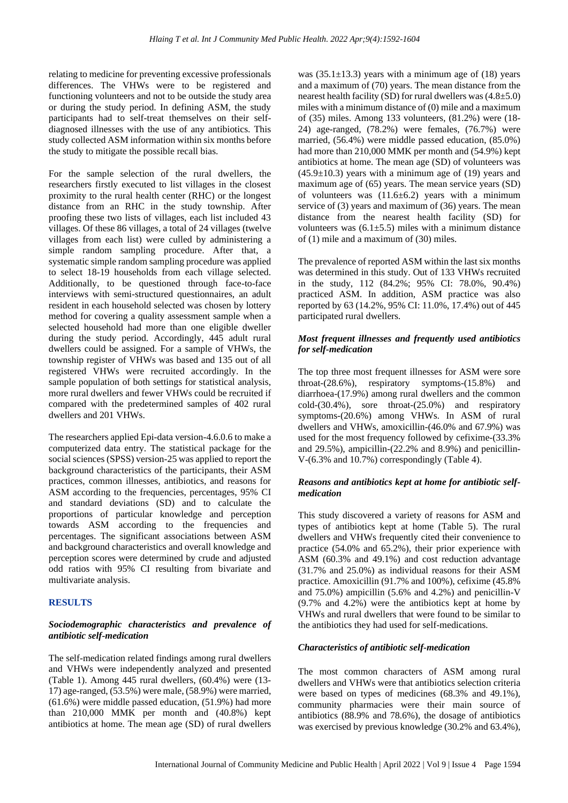relating to medicine for preventing excessive professionals differences. The VHWs were to be registered and functioning volunteers and not to be outside the study area or during the study period. In defining ASM, the study participants had to self-treat themselves on their selfdiagnosed illnesses with the use of any antibiotics. This study collected ASM information within six months before the study to mitigate the possible recall bias.

For the sample selection of the rural dwellers, the researchers firstly executed to list villages in the closest proximity to the rural health center (RHC) or the longest distance from an RHC in the study township. After proofing these two lists of villages, each list included 43 villages. Of these 86 villages, a total of 24 villages (twelve villages from each list) were culled by administering a simple random sampling procedure. After that, a systematic simple random sampling procedure was applied to select 18-19 households from each village selected. Additionally, to be questioned through face-to-face interviews with semi-structured questionnaires, an adult resident in each household selected was chosen by lottery method for covering a quality assessment sample when a selected household had more than one eligible dweller during the study period. Accordingly, 445 adult rural dwellers could be assigned. For a sample of VHWs, the township register of VHWs was based and 135 out of all registered VHWs were recruited accordingly. In the sample population of both settings for statistical analysis, more rural dwellers and fewer VHWs could be recruited if compared with the predetermined samples of 402 rural dwellers and 201 VHWs.

The researchers applied Epi-data version-4.6.0.6 to make a computerized data entry. The statistical package for the social sciences (SPSS) version-25 was applied to report the background characteristics of the participants, their ASM practices, common illnesses, antibiotics, and reasons for ASM according to the frequencies, percentages, 95% CI and standard deviations (SD) and to calculate the proportions of particular knowledge and perception towards ASM according to the frequencies and percentages. The significant associations between ASM and background characteristics and overall knowledge and perception scores were determined by crude and adjusted odd ratios with 95% CI resulting from bivariate and multivariate analysis.

#### **RESULTS**

### *Sociodemographic characteristics and prevalence of antibiotic self-medication*

The self-medication related findings among rural dwellers and VHWs were independently analyzed and presented (Table 1). Among 445 rural dwellers, (60.4%) were (13- 17) age-ranged, (53.5%) were male, (58.9%) were married, (61.6%) were middle passed education, (51.9%) had more than 210,000 MMK per month and (40.8%) kept antibiotics at home. The mean age (SD) of rural dwellers

was  $(35.1\pm13.3)$  years with a minimum age of  $(18)$  years and a maximum of (70) years. The mean distance from the nearest health facility (SD) for rural dwellers was (4.8±5.0) miles with a minimum distance of (0) mile and a maximum of (35) miles. Among 133 volunteers, (81.2%) were (18- 24) age-ranged, (78.2%) were females, (76.7%) were married, (56.4%) were middle passed education, (85.0%) had more than 210,000 MMK per month and (54.9%) kept antibiotics at home. The mean age (SD) of volunteers was  $(45.9\pm10.3)$  years with a minimum age of (19) years and maximum age of (65) years. The mean service years (SD) of volunteers was  $(11.6\pm6.2)$  years with a minimum service of (3) years and maximum of (36) years. The mean distance from the nearest health facility (SD) for volunteers was  $(6.1 \pm 5.5)$  miles with a minimum distance of (1) mile and a maximum of (30) miles.

The prevalence of reported ASM within the last six months was determined in this study. Out of 133 VHWs recruited in the study, 112 (84.2%; 95% CI: 78.0%, 90.4%) practiced ASM. In addition, ASM practice was also reported by 63 (14.2%, 95% CI: 11.0%, 17.4%) out of 445 participated rural dwellers.

### *Most frequent illnesses and frequently used antibiotics for self-medication*

The top three most frequent illnesses for ASM were sore throat-(28.6%), respiratory symptoms-(15.8%) and diarrhoea-(17.9%) among rural dwellers and the common cold-(30.4%), sore throat-(25.0%) and respiratory symptoms-(20.6%) among VHWs. In ASM of rural dwellers and VHWs, amoxicillin-(46.0% and 67.9%) was used for the most frequency followed by cefixime-(33.3% and 29.5%), ampicillin-(22.2% and 8.9%) and penicillin-V-(6.3% and 10.7%) correspondingly (Table 4).

### *Reasons and antibiotics kept at home for antibiotic selfmedication*

This study discovered a variety of reasons for ASM and types of antibiotics kept at home (Table 5). The rural dwellers and VHWs frequently cited their convenience to practice (54.0% and 65.2%), their prior experience with ASM (60.3% and 49.1%) and cost reduction advantage (31.7% and 25.0%) as individual reasons for their ASM practice. Amoxicillin (91.7% and 100%), cefixime (45.8% and 75.0%) ampicillin (5.6% and 4.2%) and penicillin-V (9.7% and 4.2%) were the antibiotics kept at home by VHWs and rural dwellers that were found to be similar to the antibiotics they had used for self-medications.

#### *Characteristics of antibiotic self-medication*

The most common characters of ASM among rural dwellers and VHWs were that antibiotics selection criteria were based on types of medicines (68.3% and 49.1%), community pharmacies were their main source of antibiotics (88.9% and 78.6%), the dosage of antibiotics was exercised by previous knowledge (30.2% and 63.4%),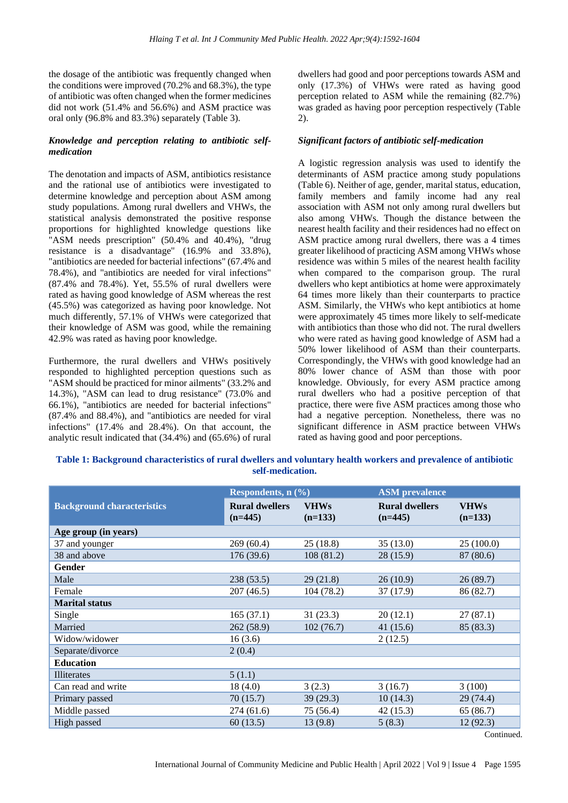the dosage of the antibiotic was frequently changed when the conditions were improved (70.2% and 68.3%), the type of antibiotic was often changed when the former medicines did not work (51.4% and 56.6%) and ASM practice was oral only (96.8% and 83.3%) separately (Table 3).

## *Knowledge and perception relating to antibiotic selfmedication*

The denotation and impacts of ASM, antibiotics resistance and the rational use of antibiotics were investigated to determine knowledge and perception about ASM among study populations. Among rural dwellers and VHWs, the statistical analysis demonstrated the positive response proportions for highlighted knowledge questions like "ASM needs prescription" (50.4% and 40.4%), "drug resistance is a disadvantage" (16.9% and 33.8%), "antibiotics are needed for bacterial infections" (67.4% and 78.4%), and "antibiotics are needed for viral infections" (87.4% and 78.4%). Yet, 55.5% of rural dwellers were rated as having good knowledge of ASM whereas the rest (45.5%) was categorized as having poor knowledge. Not much differently, 57.1% of VHWs were categorized that their knowledge of ASM was good, while the remaining 42.9% was rated as having poor knowledge.

Furthermore, the rural dwellers and VHWs positively responded to highlighted perception questions such as "ASM should be practiced for minor ailments" (33.2% and 14.3%), "ASM can lead to drug resistance" (73.0% and 66.1%), "antibiotics are needed for bacterial infections" (87.4% and 88.4%), and "antibiotics are needed for viral infections" (17.4% and 28.4%). On that account, the analytic result indicated that (34.4%) and (65.6%) of rural dwellers had good and poor perceptions towards ASM and only (17.3%) of VHWs were rated as having good perception related to ASM while the remaining (82.7%) was graded as having poor perception respectively (Table 2).

## *Significant factors of antibiotic self-medication*

A logistic regression analysis was used to identify the determinants of ASM practice among study populations (Table 6). Neither of age, gender, marital status, education, family members and family income had any real association with ASM not only among rural dwellers but also among VHWs. Though the distance between the nearest health facility and their residences had no effect on ASM practice among rural dwellers, there was a 4 times greater likelihood of practicing ASM among VHWs whose residence was within 5 miles of the nearest health facility when compared to the comparison group. The rural dwellers who kept antibiotics at home were approximately 64 times more likely than their counterparts to practice ASM. Similarly, the VHWs who kept antibiotics at home were approximately 45 times more likely to self-medicate with antibiotics than those who did not. The rural dwellers who were rated as having good knowledge of ASM had a 50% lower likelihood of ASM than their counterparts. Correspondingly, the VHWs with good knowledge had an 80% lower chance of ASM than those with poor knowledge. Obviously, for every ASM practice among rural dwellers who had a positive perception of that practice, there were five ASM practices among those who had a negative perception. Nonetheless, there was no significant difference in ASM practice between VHWs rated as having good and poor perceptions.

## **Table 1: Background characteristics of rural dwellers and voluntary health workers and prevalence of antibiotic self-medication.**

|                                   | Respondents, $n$ (%)               |                          | <b>ASM</b> prevalence              |                          |
|-----------------------------------|------------------------------------|--------------------------|------------------------------------|--------------------------|
| <b>Background characteristics</b> | <b>Rural dwellers</b><br>$(n=445)$ | <b>VHWs</b><br>$(n=133)$ | <b>Rural dwellers</b><br>$(n=445)$ | <b>VHWs</b><br>$(n=133)$ |
| Age group (in years)              |                                    |                          |                                    |                          |
| 37 and younger                    | 269(60.4)                          | 25(18.8)                 | 35(13.0)                           | 25(100.0)                |
| 38 and above                      | 176 (39.6)                         | 108(81.2)                | 28(15.9)                           | 87 (80.6)                |
| Gender                            |                                    |                          |                                    |                          |
| Male                              | 238(53.5)                          | 29(21.8)                 | 26(10.9)                           | 26(89.7)                 |
| Female                            | 207(46.5)                          | 104 (78.2)               | 37(17.9)                           | 86 (82.7)                |
| <b>Marital status</b>             |                                    |                          |                                    |                          |
| Single                            | 165(37.1)                          | 31(23.3)                 | 20(12.1)                           | 27(87.1)                 |
| Married                           | 262 (58.9)                         | 102(76.7)                | 41 (15.6)                          | 85 (83.3)                |
| Widow/widower                     | 16(3.6)                            |                          | 2(12.5)                            |                          |
| Separate/divorce                  | 2(0.4)                             |                          |                                    |                          |
| <b>Education</b>                  |                                    |                          |                                    |                          |
| <b>Illiterates</b>                | 5(1.1)                             |                          |                                    |                          |
| Can read and write                | 18(4.0)                            | 3(2.3)                   | 3(16.7)                            | 3(100)                   |
| Primary passed                    | 70(15.7)                           | 39(29.3)                 | 10(14.3)                           | 29(74.4)                 |
| Middle passed                     | 274(61.6)                          | 75 (56.4)                | 42(15.3)                           | 65 (86.7)                |
| High passed                       | 60(13.5)                           | 13(9.8)                  | 5(8.3)                             | 12(92.3)                 |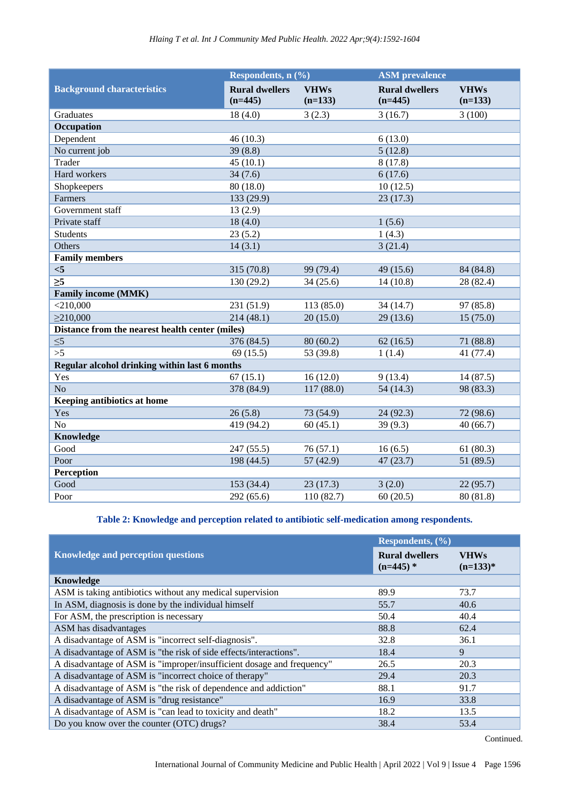|                                                 | Respondents, $n$ (%)               |                          | <b>ASM</b> prevalence              |                          |
|-------------------------------------------------|------------------------------------|--------------------------|------------------------------------|--------------------------|
| <b>Background characteristics</b>               | <b>Rural dwellers</b><br>$(n=445)$ | <b>VHWs</b><br>$(n=133)$ | <b>Rural dwellers</b><br>$(n=445)$ | <b>VHWs</b><br>$(n=133)$ |
| Graduates                                       | 18(4.0)                            | 3(2.3)                   | 3(16.7)                            | 3(100)                   |
| Occupation                                      |                                    |                          |                                    |                          |
| Dependent                                       | 46(10.3)                           |                          | 6(13.0)                            |                          |
| No current job                                  | 39(8.8)                            |                          | 5(12.8)                            |                          |
| Trader                                          | 45(10.1)                           |                          | 8(17.8)                            |                          |
| Hard workers                                    | 34(7.6)                            |                          | 6(17.6)                            |                          |
| Shopkeepers                                     | 80 (18.0)                          |                          | 10(12.5)                           |                          |
| Farmers                                         | 133 (29.9)                         |                          | 23(17.3)                           |                          |
| Government staff                                | 13(2.9)                            |                          |                                    |                          |
| Private staff                                   | 18(4.0)                            |                          | 1(5.6)                             |                          |
| Students                                        | 23(5.2)                            |                          | 1(4.3)                             |                          |
| Others                                          | 14(3.1)                            |                          | 3(21.4)                            |                          |
| <b>Family members</b>                           |                                    |                          |                                    |                          |
| < 5                                             | 315 (70.8)                         | 99 (79.4)                | 49 (15.6)                          | 84 (84.8)                |
| $\overline{\geq}$                               | 130 (29.2)                         | 34(25.6)                 | 14(10.8)                           | 28 (82.4)                |
| <b>Family income (MMK)</b>                      |                                    |                          |                                    |                          |
| $<$ 210,000                                     | 231 (51.9)                         | 113 (85.0)               | 34 (14.7)                          | 97 (85.8)                |
| $\geq$ 210,000                                  | 214(48.1)                          | 20(15.0)                 | 29(13.6)                           | 15(75.0)                 |
| Distance from the nearest health center (miles) |                                    |                          |                                    |                          |
| $\leq 5$                                        | 376 (84.5)                         | 80(60.2)                 | 62(16.5)                           | 71 (88.8)                |
| >5                                              | 69(15.5)                           | 53 (39.8)                | 1(1.4)                             | 41 (77.4)                |
| Regular alcohol drinking within last 6 months   |                                    |                          |                                    |                          |
| Yes                                             | 67(15.1)                           | 16(12.0)                 | 9(13.4)                            | 14(87.5)                 |
| No                                              | 378 (84.9)                         | 117 (88.0)               | 54 (14.3)                          | 98 (83.3)                |
| Keeping antibiotics at home                     |                                    |                          |                                    |                          |
| Yes                                             | 26(5.8)                            | 73 (54.9)                | 24(92.3)                           | 72 (98.6)                |
| No                                              | 419 (94.2)                         | 60(45.1)                 | 39(9.3)                            | 40(66.7)                 |
| Knowledge                                       |                                    |                          |                                    |                          |
| Good                                            | 247 (55.5)                         | 76(57.1)                 | 16(6.5)                            | 61(80.3)                 |
| Poor                                            | 198 (44.5)                         | 57(42.9)                 | 47(23.7)                           | 51 (89.5)                |
| Perception                                      |                                    |                          |                                    |                          |
| Good                                            | 153 (34.4)                         | 23(17.3)                 | 3(2.0)                             | 22(95.7)                 |
| Poor                                            | 292 (65.6)                         | 110(82.7)                | 60(20.5)                           | 80(81.8)                 |

## **Table 2: Knowledge and perception related to antibiotic self-medication among respondents.**

|                                                                       | Respondents, $(\%$                   |                           |
|-----------------------------------------------------------------------|--------------------------------------|---------------------------|
| <b>Knowledge and perception questions</b>                             | <b>Rural dwellers</b><br>$(n=445)$ * | <b>VHWs</b><br>$(n=133)*$ |
| <b>Knowledge</b>                                                      |                                      |                           |
| ASM is taking antibiotics without any medical supervision             | 89.9                                 | 73.7                      |
| In ASM, diagnosis is done by the individual himself                   | 55.7                                 | 40.6                      |
| For ASM, the prescription is necessary                                | 50.4                                 | 40.4                      |
| ASM has disadvantages                                                 | 88.8                                 | 62.4                      |
| A disadvantage of ASM is "incorrect self-diagnosis".                  | 32.8                                 | 36.1                      |
| A disadvantage of ASM is "the risk of side effects/interactions".     | 18.4                                 | 9                         |
| A disadvantage of ASM is "improper/insufficient dosage and frequency" | 26.5                                 | 20.3                      |
| A disadvantage of ASM is "incorrect choice of therapy"                | 29.4                                 | 20.3                      |
| A disadvantage of ASM is "the risk of dependence and addiction"       | 88.1                                 | 91.7                      |
| A disadvantage of ASM is "drug resistance"                            | 16.9                                 | 33.8                      |
| A disadvantage of ASM is "can lead to toxicity and death"             | 18.2                                 | 13.5                      |
| Do you know over the counter (OTC) drugs?                             | 38.4                                 | 53.4                      |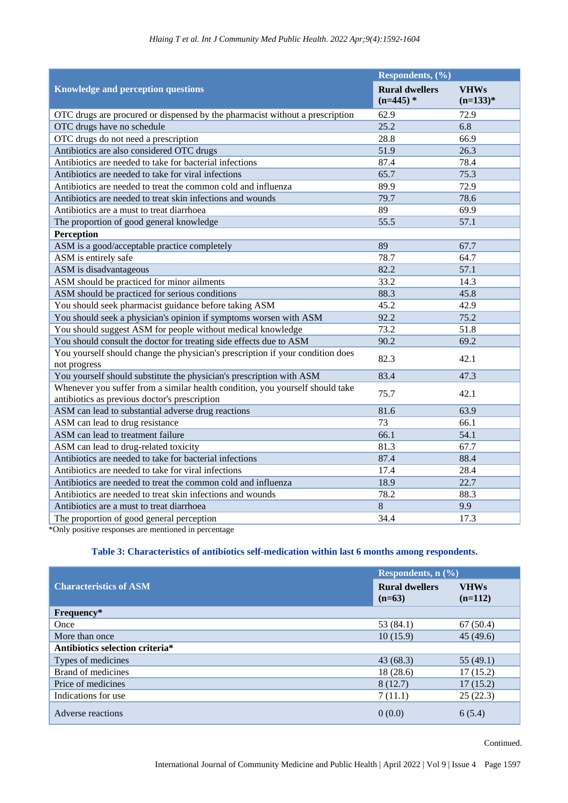|                                                                                                                                | Respondents, (%)                     |                           |  |
|--------------------------------------------------------------------------------------------------------------------------------|--------------------------------------|---------------------------|--|
| <b>Knowledge and perception questions</b>                                                                                      | <b>Rural dwellers</b><br>$(n=445)$ * | <b>VHWs</b><br>$(n=133)*$ |  |
| OTC drugs are procured or dispensed by the pharmacist without a prescription                                                   | 62.9                                 | 72.9                      |  |
| OTC drugs have no schedule                                                                                                     | 25.2                                 | 6.8                       |  |
| OTC drugs do not need a prescription                                                                                           | 28.8                                 | 66.9                      |  |
| Antibiotics are also considered OTC drugs                                                                                      | 51.9                                 | 26.3                      |  |
| Antibiotics are needed to take for bacterial infections                                                                        | 87.4                                 | 78.4                      |  |
| Antibiotics are needed to take for viral infections                                                                            | 65.7                                 | 75.3                      |  |
| Antibiotics are needed to treat the common cold and influenza                                                                  | 89.9                                 | 72.9                      |  |
| Antibiotics are needed to treat skin infections and wounds                                                                     | 79.7                                 | 78.6                      |  |
| Antibiotics are a must to treat diarrhoea                                                                                      | 89                                   | 69.9                      |  |
| The proportion of good general knowledge                                                                                       | 55.5                                 | 57.1                      |  |
| Perception                                                                                                                     |                                      |                           |  |
| ASM is a good/acceptable practice completely                                                                                   | 89                                   | 67.7                      |  |
| ASM is entirely safe                                                                                                           | 78.7                                 | 64.7                      |  |
| ASM is disadvantageous                                                                                                         | 82.2                                 | 57.1                      |  |
| ASM should be practiced for minor ailments                                                                                     | 33.2                                 | 14.3                      |  |
| ASM should be practiced for serious conditions                                                                                 | 88.3                                 | 45.8                      |  |
| You should seek pharmacist guidance before taking ASM                                                                          | 45.2                                 | 42.9                      |  |
| You should seek a physician's opinion if symptoms worsen with ASM                                                              | 92.2                                 | 75.2                      |  |
| You should suggest ASM for people without medical knowledge                                                                    | 73.2                                 | 51.8                      |  |
| You should consult the doctor for treating side effects due to ASM                                                             | 90.2                                 | 69.2                      |  |
| You yourself should change the physician's prescription if your condition does<br>not progress                                 | 82.3                                 | 42.1                      |  |
| You yourself should substitute the physician's prescription with ASM                                                           | 83.4                                 | 47.3                      |  |
| Whenever you suffer from a similar health condition, you yourself should take<br>antibiotics as previous doctor's prescription | 75.7                                 | 42.1                      |  |
| ASM can lead to substantial adverse drug reactions                                                                             | 81.6                                 | 63.9                      |  |
| ASM can lead to drug resistance                                                                                                | 73                                   | 66.1                      |  |
| ASM can lead to treatment failure                                                                                              | 66.1                                 | 54.1                      |  |
| ASM can lead to drug-related toxicity                                                                                          | 81.3                                 | 67.7                      |  |
| Antibiotics are needed to take for bacterial infections                                                                        | 87.4                                 | 88.4                      |  |
| Antibiotics are needed to take for viral infections                                                                            | 17.4                                 | 28.4                      |  |
| Antibiotics are needed to treat the common cold and influenza                                                                  | 18.9                                 | 22.7                      |  |
| Antibiotics are needed to treat skin infections and wounds                                                                     | 78.2                                 | 88.3                      |  |
| Antibiotics are a must to treat diarrhoea                                                                                      | 8                                    | 9.9                       |  |
| The proportion of good general perception                                                                                      | 34.4                                 | 17.3                      |  |

\*Only positive responses are mentioned in percentage

## **Table 3: Characteristics of antibiotics self-medication within last 6 months among respondents.**

|                                 | Respondents, $n$ (%)              |                          |
|---------------------------------|-----------------------------------|--------------------------|
| <b>Characteristics of ASM</b>   | <b>Rural dwellers</b><br>$(n=63)$ | <b>VHWs</b><br>$(n=112)$ |
| Frequency*                      |                                   |                          |
| Once                            | 53 $(84.1)$                       | 67(50.4)                 |
| More than once                  | 10(15.9)                          | 45(49.6)                 |
| Antibiotics selection criteria* |                                   |                          |
| Types of medicines              | 43(68.3)                          | 55(49.1)                 |
| Brand of medicines              | 18(28.6)                          | 17(15.2)                 |
| Price of medicines              | 8(12.7)                           | 17(15.2)                 |
| Indications for use             | 7(11.1)                           | 25(22.3)                 |
| Adverse reactions               | 0(0.0)                            | 6(5.4)                   |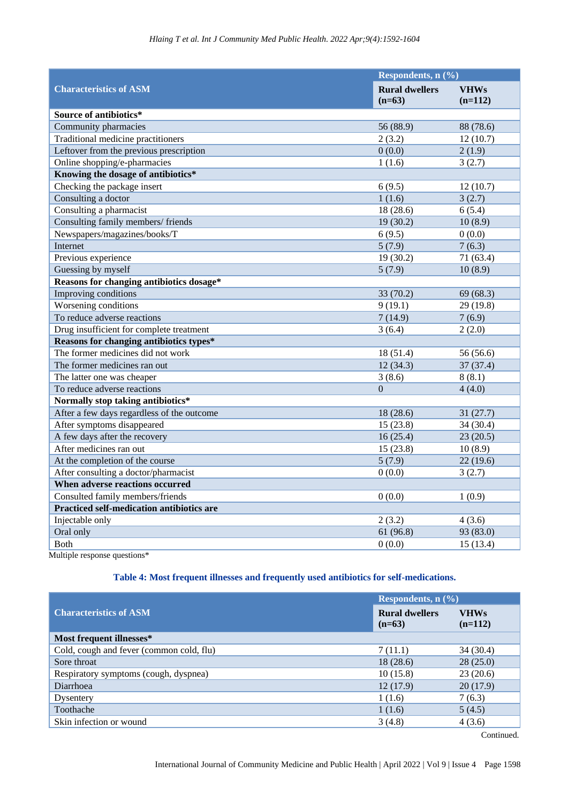|                                                  | Respondents, n (%)                |                          |
|--------------------------------------------------|-----------------------------------|--------------------------|
| <b>Characteristics of ASM</b>                    | <b>Rural dwellers</b><br>$(n=63)$ | <b>VHWs</b><br>$(n=112)$ |
| Source of antibiotics*                           |                                   |                          |
| Community pharmacies                             | 56 (88.9)                         | 88 (78.6)                |
| Traditional medicine practitioners               | 2(3.2)                            | 12(10.7)                 |
| Leftover from the previous prescription          | 0(0.0)                            | 2(1.9)                   |
| Online shopping/e-pharmacies                     | 1(1.6)                            | 3(2.7)                   |
| Knowing the dosage of antibiotics*               |                                   |                          |
| Checking the package insert                      | 6(9.5)                            | 12(10.7)                 |
| Consulting a doctor                              | 1(1.6)                            | 3(2.7)                   |
| Consulting a pharmacist                          | 18(28.6)                          | 6(5.4)                   |
| Consulting family members/friends                | 19(30.2)                          | 10(8.9)                  |
| Newspapers/magazines/books/T                     | 6(9.5)                            | 0(0.0)                   |
| Internet                                         | 5(7.9)                            | 7(6.3)                   |
| Previous experience                              | 19(30.2)                          | 71 (63.4)                |
| Guessing by myself                               | 5(7.9)                            | 10(8.9)                  |
| Reasons for changing antibiotics dosage*         |                                   |                          |
| Improving conditions                             | 33 (70.2)                         | 69(68.3)                 |
| Worsening conditions                             | 9(19.1)                           | 29 (19.8)                |
| To reduce adverse reactions                      | 7(14.9)                           | 7(6.9)                   |
| Drug insufficient for complete treatment         | 3(6.4)                            | 2(2.0)                   |
| Reasons for changing antibiotics types*          |                                   |                          |
| The former medicines did not work                | 18(51.4)                          | 56 (56.6)                |
| The former medicines ran out                     | 12(34.3)                          | 37(37.4)                 |
| The latter one was cheaper                       | 3(8.6)                            | 8(8.1)                   |
| To reduce adverse reactions                      | $\Omega$                          | 4(4.0)                   |
| Normally stop taking antibiotics*                |                                   |                          |
| After a few days regardless of the outcome       | 18(28.6)                          | 31(27.7)                 |
| After symptoms disappeared                       | 15(23.8)                          | 34(30.4)                 |
| A few days after the recovery                    | 16(25.4)                          | 23(20.5)                 |
| After medicines ran out                          | 15(23.8)                          | 10(8.9)                  |
| At the completion of the course                  | 5(7.9)                            | 22(19.6)                 |
| After consulting a doctor/pharmacist             | 0(0.0)                            | 3(2.7)                   |
| When adverse reactions occurred                  |                                   |                          |
| Consulted family members/friends                 | 0(0.0)                            | 1(0.9)                   |
| <b>Practiced self-medication antibiotics are</b> |                                   |                          |
| Injectable only                                  | 2(3.2)                            | 4(3.6)                   |
| Oral only                                        | 61(96.8)                          | 93 (83.0)                |
| <b>Both</b>                                      | 0(0.0)                            | 15(13.4)                 |

Multiple response questions\*

## **Table 4: Most frequent illnesses and frequently used antibiotics for self-medications.**

|                                          | Respondents, $n$ (%)              |                          |
|------------------------------------------|-----------------------------------|--------------------------|
| <b>Characteristics of ASM</b>            | <b>Rural dwellers</b><br>$(n=63)$ | <b>VHWs</b><br>$(n=112)$ |
| Most frequent illnesses*                 |                                   |                          |
| Cold, cough and fever (common cold, flu) | 7(11.1)                           | 34(30.4)                 |
| Sore throat                              | 18(28.6)                          | 28(25.0)                 |
| Respiratory symptoms (cough, dyspnea)    | 10(15.8)                          | 23(20.6)                 |
| Diarrhoea                                | 12(17.9)                          | 20(17.9)                 |
| Dysentery                                | 1(1.6)                            | 7(6.3)                   |
| Toothache                                | 1(1.6)                            | 5(4.5)                   |
| Skin infection or wound                  | 3(4.8)                            | 4(3.6)                   |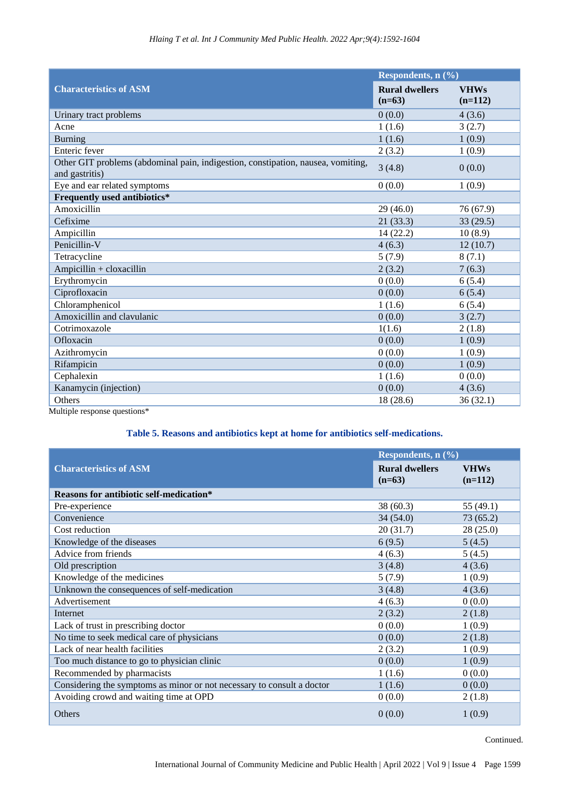|                                                                                                    | Respondents, n (%)                |                          |
|----------------------------------------------------------------------------------------------------|-----------------------------------|--------------------------|
| <b>Characteristics of ASM</b>                                                                      | <b>Rural dwellers</b><br>$(n=63)$ | <b>VHWs</b><br>$(n=112)$ |
| Urinary tract problems                                                                             | 0(0.0)                            | 4(3.6)                   |
| Acne                                                                                               | 1(1.6)                            | 3(2.7)                   |
| <b>Burning</b>                                                                                     | 1(1.6)                            | 1(0.9)                   |
| Enteric fever                                                                                      | 2(3.2)                            | 1(0.9)                   |
| Other GIT problems (abdominal pain, indigestion, constipation, nausea, vomiting,<br>and gastritis) | 3(4.8)                            | 0(0.0)                   |
| Eye and ear related symptoms                                                                       | 0(0.0)                            | 1(0.9)                   |
| Frequently used antibiotics*                                                                       |                                   |                          |
| Amoxicillin                                                                                        | 29(46.0)                          | 76 (67.9)                |
| Cefixime                                                                                           | 21(33.3)                          | 33(29.5)                 |
| Ampicillin                                                                                         | 14(22.2)                          | 10(8.9)                  |
| Penicillin-V                                                                                       | 4(6.3)                            | 12(10.7)                 |
| Tetracycline                                                                                       | 5(7.9)                            | 8(7.1)                   |
| $Ampicillin + cloxacillin$                                                                         | 2(3.2)                            | 7(6.3)                   |
| Erythromycin                                                                                       | 0(0.0)                            | 6(5.4)                   |
| Ciprofloxacin                                                                                      | 0(0.0)                            | 6(5.4)                   |
| Chloramphenicol                                                                                    | 1(1.6)                            | 6(5.4)                   |
| Amoxicillin and clavulanic                                                                         | 0(0.0)                            | 3(2.7)                   |
| Cotrimoxazole                                                                                      | 1(1.6)                            | 2(1.8)                   |
| Ofloxacin                                                                                          | 0(0.0)                            | 1(0.9)                   |
| Azithromycin                                                                                       | 0(0.0)                            | 1(0.9)                   |
| Rifampicin                                                                                         | 0(0.0)                            | 1(0.9)                   |
| Cephalexin                                                                                         | 1(1.6)                            | 0(0.0)                   |
| Kanamycin (injection)                                                                              | 0(0.0)                            | 4(3.6)                   |
| <b>Others</b>                                                                                      | 18(28.6)                          | 36(32.1)                 |
| Multiple response questions*                                                                       |                                   |                          |

## **Table 5. Reasons and antibiotics kept at home for antibiotics self-medications.**

|                                                                        | Respondents, $n$ (%)              |                          |
|------------------------------------------------------------------------|-----------------------------------|--------------------------|
| <b>Characteristics of ASM</b>                                          | <b>Rural dwellers</b><br>$(n=63)$ | <b>VHWs</b><br>$(n=112)$ |
| <b>Reasons for antibiotic self-medication*</b>                         |                                   |                          |
| Pre-experience                                                         | 38(60.3)                          | 55 (49.1)                |
| Convenience                                                            | 34(54.0)                          | 73(65.2)                 |
| Cost reduction                                                         | 20(31.7)                          | 28(25.0)                 |
| Knowledge of the diseases                                              | 6(9.5)                            | 5(4.5)                   |
| Advice from friends                                                    | 4(6.3)                            | 5(4.5)                   |
| Old prescription                                                       | 3(4.8)                            | 4(3.6)                   |
| Knowledge of the medicines                                             | 5(7.9)                            | 1(0.9)                   |
| Unknown the consequences of self-medication                            | 3(4.8)                            | 4(3.6)                   |
| Advertisement                                                          | 4(6.3)                            | 0(0.0)                   |
| Internet                                                               | 2(3.2)                            | 2(1.8)                   |
| Lack of trust in prescribing doctor                                    | 0(0.0)                            | 1(0.9)                   |
| No time to seek medical care of physicians                             | 0(0.0)                            | 2(1.8)                   |
| Lack of near health facilities                                         | 2(3.2)                            | 1(0.9)                   |
| Too much distance to go to physician clinic                            | 0(0.0)                            | 1(0.9)                   |
| Recommended by pharmacists                                             | 1(1.6)                            | 0(0.0)                   |
| Considering the symptoms as minor or not necessary to consult a doctor | 1(1.6)                            | 0(0.0)                   |
| Avoiding crowd and waiting time at OPD                                 | 0(0.0)                            | 2(1.8)                   |
| Others                                                                 | 0(0.0)                            | 1(0.9)                   |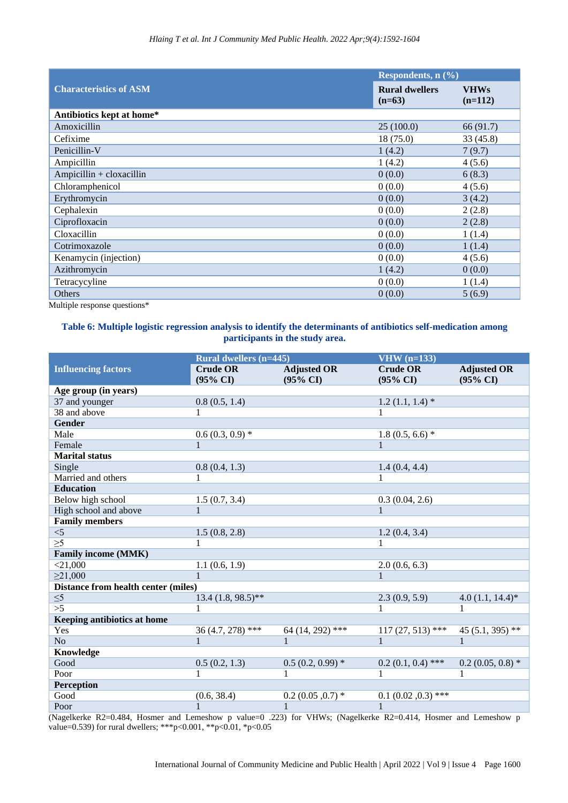|                               | Respondents, $n$ $(\%)$           |                          |  |
|-------------------------------|-----------------------------------|--------------------------|--|
| <b>Characteristics of ASM</b> | <b>Rural dwellers</b><br>$(n=63)$ | <b>VHWs</b><br>$(n=112)$ |  |
| Antibiotics kept at home*     |                                   |                          |  |
| Amoxicillin                   | 25(100.0)                         | 66 (91.7)                |  |
| Cefixime                      | 18(75.0)                          | 33 (45.8)                |  |
| Penicillin-V                  | 1(4.2)                            | 7(9.7)                   |  |
| Ampicillin                    | 1(4.2)                            | 4(5.6)                   |  |
| Ampicillin + cloxacillin      | 0(0.0)                            | 6(8.3)                   |  |
| Chloramphenicol               | 0(0.0)                            | 4(5.6)                   |  |
| Erythromycin                  | 0(0.0)                            | 3(4.2)                   |  |
| Cephalexin                    | 0(0.0)                            | 2(2.8)                   |  |
| Ciprofloxacin                 | 0(0.0)                            | 2(2.8)                   |  |
| Cloxacillin                   | 0(0.0)                            | 1(1.4)                   |  |
| Cotrimoxazole                 | 0(0.0)                            | 1(1.4)                   |  |
| Kenamycin (injection)         | 0(0.0)                            | 4(5.6)                   |  |
| Azithromycin                  | 1(4.2)                            | 0(0.0)                   |  |
| Tetracycyline                 | 0(0.0)                            | 1(1.4)                   |  |
| Others                        | 0(0.0)                            | 5(6.9)                   |  |

Multiple response questions\*

## **Table 6: Multiple logistic regression analysis to identify the determinants of antibiotics self-medication among participants in the study area.**

|                                     | <b>Rural dwellers (n=445)</b>          |                                           | $VHW$ (n=133)                          |                                           |
|-------------------------------------|----------------------------------------|-------------------------------------------|----------------------------------------|-------------------------------------------|
| <b>Influencing factors</b>          | <b>Crude OR</b><br>$(95\% \text{ CI})$ | <b>Adjusted OR</b><br>$(95\% \text{ CI})$ | <b>Crude OR</b><br>$(95\% \text{ CI})$ | <b>Adjusted OR</b><br>$(95\% \text{ CI})$ |
| Age group (in years)                |                                        |                                           |                                        |                                           |
| 37 and younger                      | 0.8(0.5, 1.4)                          |                                           | $1.2(1.1, 1.4)$ *                      |                                           |
| 38 and above                        |                                        |                                           |                                        |                                           |
| Gender                              |                                        |                                           |                                        |                                           |
| Male                                | $0.6(0.3, 0.9)*$                       |                                           | $1.8(0.5, 6.6)*$                       |                                           |
| Female                              | $\mathbf{1}$                           |                                           | $\mathbf{1}$                           |                                           |
| <b>Marital</b> status               |                                        |                                           |                                        |                                           |
| Single                              | 0.8(0.4, 1.3)                          |                                           | 1.4(0.4, 4.4)                          |                                           |
| Married and others                  |                                        |                                           | 1                                      |                                           |
| <b>Education</b>                    |                                        |                                           |                                        |                                           |
| Below high school                   | 1.5(0.7, 3.4)                          |                                           | 0.3(0.04, 2.6)                         |                                           |
| High school and above               | $\mathbf{1}$                           |                                           | $\mathbf{1}$                           |                                           |
| <b>Family members</b>               |                                        |                                           |                                        |                                           |
| $<$ 5                               | 1.5(0.8, 2.8)                          |                                           | 1.2(0.4, 3.4)                          |                                           |
| $\overline{\geq 5}$                 | $\overline{1}$                         |                                           | $\mathbf{1}$                           |                                           |
| <b>Family income (MMK)</b>          |                                        |                                           |                                        |                                           |
| $<$ 21,000                          | 1.1(0.6, 1.9)                          |                                           | 2.0(0.6, 6.3)                          |                                           |
| $\geq$ 21,000                       |                                        |                                           | 1                                      |                                           |
| Distance from health center (miles) |                                        |                                           |                                        |                                           |
| $\leq 5$                            | $13.4 (1.8, 98.5)$ **                  |                                           | 2.3(0.9, 5.9)                          | $4.0(1.1, 14.4)$ *                        |
| >5                                  |                                        |                                           |                                        |                                           |
| Keeping antibiotics at home         |                                        |                                           |                                        |                                           |
| Yes                                 | $36(4.7, 278)$ ***                     | $64(14, 292)$ ***                         | $117(27, 513)$ ***                     | 45 (5.1, 395) **                          |
| No.                                 | $\overline{1}$                         |                                           | $1 - 1$                                | $\mathbf{1}$                              |
| Knowledge                           |                                        |                                           |                                        |                                           |
| Good                                | 0.5(0.2, 1.3)                          | $0.5(0.2, 0.99)$ *                        | $0.2(0.1, 0.4)$ ***                    | $0.2(0.05, 0.8)$ *                        |
| Poor                                | $\mathbf{1}$                           |                                           |                                        |                                           |
| <b>Perception</b>                   |                                        |                                           |                                        |                                           |
| Good                                | (0.6, 38.4)                            | $0.2(0.05, 0.7)$ *                        | $0.1$ $(0.02, 0.3)$ ***                |                                           |
| Poor                                |                                        | $\mathbf{1}$                              | $\mathbf{1}$                           |                                           |

(Nagelkerke R2=0.484, Hosmer and Lemeshow p value=0 .223) for VHWs; (Nagelkerke R2=0.414, Hosmer and Lemeshow p value=0.539) for rural dwellers; \*\*\*p<0.001, \*\*p<0.01, \*p<0.05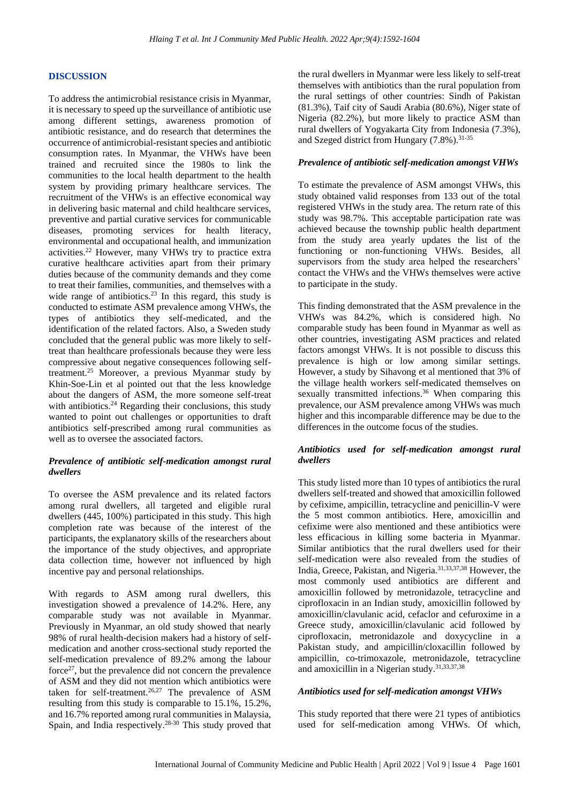#### **DISCUSSION**

To address the antimicrobial resistance crisis in Myanmar, it is necessary to speed up the surveillance of antibiotic use among different settings, awareness promotion of antibiotic resistance, and do research that determines the occurrence of antimicrobial-resistant species and antibiotic consumption rates. In Myanmar, the VHWs have been trained and recruited since the 1980s to link the communities to the local health department to the health system by providing primary healthcare services. The recruitment of the VHWs is an effective economical way in delivering basic maternal and child healthcare services, preventive and partial curative services for communicable diseases, promoting services for health literacy, environmental and occupational health, and immunization activities. <sup>22</sup> However, many VHWs try to practice extra curative healthcare activities apart from their primary duties because of the community demands and they come to treat their families, communities, and themselves with a wide range of antibiotics.<sup>23</sup> In this regard, this study is conducted to estimate ASM prevalence among VHWs, the types of antibiotics they self-medicated, and the identification of the related factors. Also, a Sweden study concluded that the general public was more likely to selftreat than healthcare professionals because they were less compressive about negative consequences following selftreatment. <sup>25</sup> Moreover, a previous Myanmar study by Khin-Soe-Lin et al pointed out that the less knowledge about the dangers of ASM, the more someone self-treat with antibiotics.<sup>24</sup> Regarding their conclusions, this study wanted to point out challenges or opportunities to draft antibiotics self-prescribed among rural communities as well as to oversee the associated factors.

## *Prevalence of antibiotic self-medication amongst rural dwellers*

To oversee the ASM prevalence and its related factors among rural dwellers, all targeted and eligible rural dwellers (445, 100%) participated in this study. This high completion rate was because of the interest of the participants, the explanatory skills of the researchers about the importance of the study objectives, and appropriate data collection time, however not influenced by high incentive pay and personal relationships.

With regards to ASM among rural dwellers, this investigation showed a prevalence of 14.2%. Here, any comparable study was not available in Myanmar. Previously in Myanmar, an old study showed that nearly 98% of rural health-decision makers had a history of selfmedication and another cross-sectional study reported the self-medication prevalence of 89.2% among the labour force $27$ , but the prevalence did not concern the prevalence of ASM and they did not mention which antibiotics were taken for self-treatment.<sup>26,27</sup> The prevalence of ASM resulting from this study is comparable to 15.1%, 15.2%, and 16.7% reported among rural communities in Malaysia, Spain, and India respectively.28-30 This study proved that

the rural dwellers in Myanmar were less likely to self-treat themselves with antibiotics than the rural population from the rural settings of other countries: Sindh of Pakistan (81.3%), Taif city of Saudi Arabia (80.6%), Niger state of Nigeria (82.2%), but more likely to practice ASM than rural dwellers of Yogyakarta City from Indonesia (7.3%), and Szeged district from Hungary (7.8%). 31-35

#### *Prevalence of antibiotic self-medication amongst VHWs*

To estimate the prevalence of ASM amongst VHWs, this study obtained valid responses from 133 out of the total registered VHWs in the study area. The return rate of this study was 98.7%. This acceptable participation rate was achieved because the township public health department from the study area yearly updates the list of the functioning or non-functioning VHWs. Besides, all supervisors from the study area helped the researchers' contact the VHWs and the VHWs themselves were active to participate in the study.

This finding demonstrated that the ASM prevalence in the VHWs was 84.2%, which is considered high. No comparable study has been found in Myanmar as well as other countries, investigating ASM practices and related factors amongst VHWs. It is not possible to discuss this prevalence is high or low among similar settings. However, a study by Sihavong et al mentioned that 3% of the village health workers self-medicated themselves on sexually transmitted infections.<sup>36</sup> When comparing this prevalence, our ASM prevalence among VHWs was much higher and this incomparable difference may be due to the differences in the outcome focus of the studies.

#### *Antibiotics used for self-medication amongst rural dwellers*

This study listed more than 10 types of antibiotics the rural dwellers self-treated and showed that amoxicillin followed by cefixime, ampicillin, tetracycline and penicillin-V were the 5 most common antibiotics. Here, amoxicillin and cefixime were also mentioned and these antibiotics were less efficacious in killing some bacteria in Myanmar. Similar antibiotics that the rural dwellers used for their self-medication were also revealed from the studies of India, Greece, Pakistan, and Nigeria.31,33,37,38 However, the most commonly used antibiotics are different and amoxicillin followed by metronidazole, tetracycline and ciprofloxacin in an Indian study, amoxicillin followed by amoxicillin/clavulanic acid, cefaclor and cefuroxime in a Greece study, amoxicillin/clavulanic acid followed by ciprofloxacin, metronidazole and doxycycline in a Pakistan study, and ampicillin/cloxacillin followed by ampicillin, co-trimoxazole, metronidazole, tetracycline and amoxicillin in a Nigerian study. 31,33,37,38

#### *Antibiotics used for self-medication amongst VHWs*

This study reported that there were 21 types of antibiotics used for self-medication among VHWs. Of which,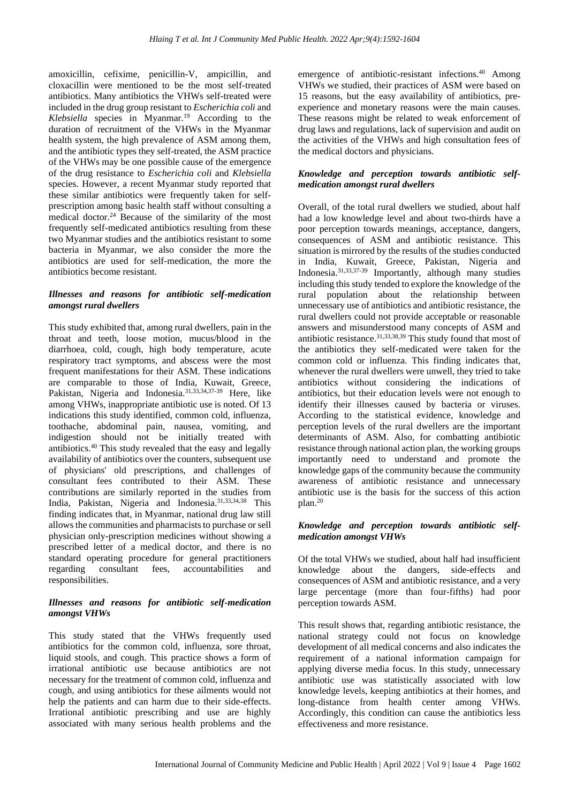amoxicillin, cefixime, penicillin-V, ampicillin, and cloxacillin were mentioned to be the most self-treated antibiotics. Many antibiotics the VHWs self-treated were included in the drug group resistant to *Escherichia coli* and *Klebsiella* species in Myanmar. <sup>19</sup> According to the duration of recruitment of the VHWs in the Myanmar health system, the high prevalence of ASM among them, and the antibiotic types they self-treated, the ASM practice of the VHWs may be one possible cause of the emergence of the drug resistance to *Escherichia coli* and *Klebsiella*  species. However, a recent Myanmar study reported that these similar antibiotics were frequently taken for selfprescription among basic health staff without consulting a medical doctor. <sup>24</sup> Because of the similarity of the most frequently self-medicated antibiotics resulting from these two Myanmar studies and the antibiotics resistant to some bacteria in Myanmar, we also consider the more the antibiotics are used for self-medication, the more the antibiotics become resistant.

## *Illnesses and reasons for antibiotic self-medication amongst rural dwellers*

This study exhibited that, among rural dwellers, pain in the throat and teeth, loose motion, mucus/blood in the diarrhoea, cold, cough, high body temperature, acute respiratory tract symptoms, and abscess were the most frequent manifestations for their ASM. These indications are comparable to those of India, Kuwait, Greece, Pakistan, Nigeria and Indonesia.<sup>31,33,34,37-39</sup> Here, like among VHWs, inappropriate antibiotic use is noted. Of 13 indications this study identified, common cold, influenza, toothache, abdominal pain, nausea, vomiting, and indigestion should not be initially treated with antibiotics. <sup>40</sup> This study revealed that the easy and legally availability of antibiotics over the counters, subsequent use of physicians' old prescriptions, and challenges of consultant fees contributed to their ASM. These contributions are similarly reported in the studies from India, Pakistan, Nigeria and Indonesia.31,33,34,38 This finding indicates that, in Myanmar, national drug law still allows the communities and pharmacists to purchase or sell physician only-prescription medicines without showing a prescribed letter of a medical doctor, and there is no standard operating procedure for general practitioners regarding consultant fees, accountabilities and responsibilities.

## *Illnesses and reasons for antibiotic self-medication amongst VHWs*

This study stated that the VHWs frequently used antibiotics for the common cold, influenza, sore throat, liquid stools, and cough. This practice shows a form of irrational antibiotic use because antibiotics are not necessary for the treatment of common cold, influenza and cough, and using antibiotics for these ailments would not help the patients and can harm due to their side-effects. Irrational antibiotic prescribing and use are highly associated with many serious health problems and the

emergence of antibiotic-resistant infections. <sup>40</sup> Among VHWs we studied, their practices of ASM were based on 15 reasons, but the easy availability of antibiotics, preexperience and monetary reasons were the main causes. These reasons might be related to weak enforcement of drug laws and regulations, lack of supervision and audit on the activities of the VHWs and high consultation fees of the medical doctors and physicians.

## *Knowledge and perception towards antibiotic selfmedication amongst rural dwellers*

Overall, of the total rural dwellers we studied, about half had a low knowledge level and about two-thirds have a poor perception towards meanings, acceptance, dangers, consequences of ASM and antibiotic resistance. This situation is mirrored by the results of the studies conducted in India, Kuwait, Greece, Pakistan, Nigeria and Indonesia. 31,33,37-39 Importantly, although many studies including this study tended to explore the knowledge of the rural population about the relationship between unnecessary use of antibiotics and antibiotic resistance, the rural dwellers could not provide acceptable or reasonable answers and misunderstood many concepts of ASM and antibiotic resistance.31,33,38,39 This study found that most of the antibiotics they self-medicated were taken for the common cold or influenza. This finding indicates that, whenever the rural dwellers were unwell, they tried to take antibiotics without considering the indications of antibiotics, but their education levels were not enough to identify their illnesses caused by bacteria or viruses. According to the statistical evidence, knowledge and perception levels of the rural dwellers are the important determinants of ASM. Also, for combatting antibiotic resistance through national action plan, the working groups importantly need to understand and promote the knowledge gaps of the community because the community awareness of antibiotic resistance and unnecessary antibiotic use is the basis for the success of this action plan. 20

## *Knowledge and perception towards antibiotic selfmedication amongst VHWs*

Of the total VHWs we studied, about half had insufficient knowledge about the dangers, side-effects and consequences of ASM and antibiotic resistance, and a very large percentage (more than four-fifths) had poor perception towards ASM.

This result shows that, regarding antibiotic resistance, the national strategy could not focus on knowledge development of all medical concerns and also indicates the requirement of a national information campaign for applying diverse media focus. In this study, unnecessary antibiotic use was statistically associated with low knowledge levels, keeping antibiotics at their homes, and long-distance from health center among VHWs. Accordingly, this condition can cause the antibiotics less effectiveness and more resistance.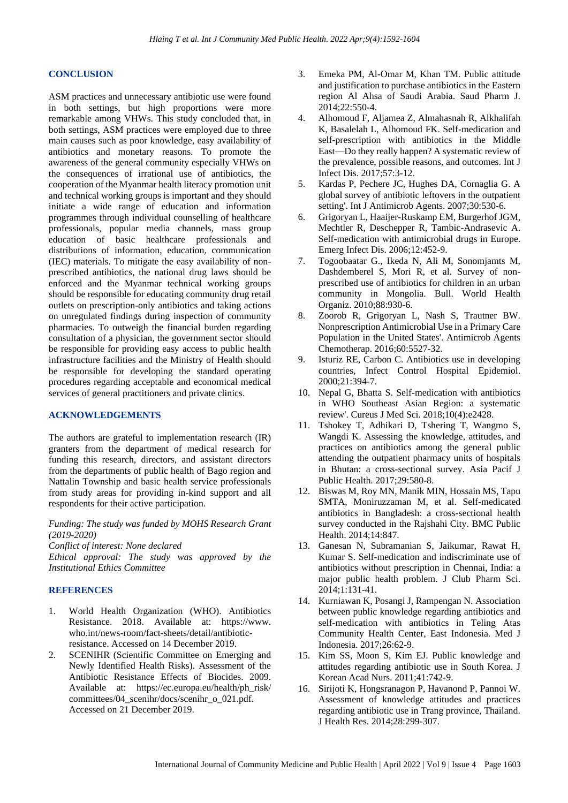#### **CONCLUSION**

ASM practices and unnecessary antibiotic use were found in both settings, but high proportions were more remarkable among VHWs. This study concluded that, in both settings, ASM practices were employed due to three main causes such as poor knowledge, easy availability of antibiotics and monetary reasons. To promote the awareness of the general community especially VHWs on the consequences of irrational use of antibiotics, the cooperation of the Myanmar health literacy promotion unit and technical working groups is important and they should initiate a wide range of education and information programmes through individual counselling of healthcare professionals, popular media channels, mass group education of basic healthcare professionals and distributions of information, education, communication (IEC) materials. To mitigate the easy availability of nonprescribed antibiotics, the national drug laws should be enforced and the Myanmar technical working groups should be responsible for educating community drug retail outlets on prescription-only antibiotics and taking actions on unregulated findings during inspection of community pharmacies. To outweigh the financial burden regarding consultation of a physician, the government sector should be responsible for providing easy access to public health infrastructure facilities and the Ministry of Health should be responsible for developing the standard operating procedures regarding acceptable and economical medical services of general practitioners and private clinics.

### **ACKNOWLEDGEMENTS**

The authors are grateful to implementation research (IR) granters from the department of medical research for funding this research, directors, and assistant directors from the departments of public health of Bago region and Nattalin Township and basic health service professionals from study areas for providing in-kind support and all respondents for their active participation.

*Funding: The study was funded by MOHS Research Grant (2019-2020)*

*Conflict of interest: None declared*

*Ethical approval: The study was approved by the Institutional Ethics Committee*

### **REFERENCES**

- 1. World Health Organization (WHO). Antibiotics Resistance. 2018. Available at: https://www. who.int/news-room/fact-sheets/detail/antibioticresistance. Accessed on 14 December 2019.
- 2. SCENIHR (Scientific Committee on Emerging and Newly Identified Health Risks). Assessment of the Antibiotic Resistance Effects of Biocides. 2009. Available at: https://ec.europa.eu/health/ph\_risk/ committees/04\_scenihr/docs/scenihr\_o\_021.pdf. Accessed on 21 December 2019.
- 3. Emeka PM, Al-Omar M, Khan TM. Public attitude and justification to purchase antibiotics in the Eastern region Al Ahsa of Saudi Arabia. Saud Pharm J. 2014;22:550-4.
- 4. Alhomoud F, Aljamea Z, Almahasnah R, Alkhalifah K, Basalelah L, Alhomoud FK. Self-medication and self-prescription with antibiotics in the Middle East—Do they really happen? A systematic review of the prevalence, possible reasons, and outcomes. Int J Infect Dis. 2017;57:3-12.
- 5. Kardas P, Pechere JC, Hughes DA, Cornaglia G. A global survey of antibiotic leftovers in the outpatient setting'. Int J Antimicrob Agents. 2007;30:530-6.
- 6. Grigoryan L, Haaijer-Ruskamp EM, Burgerhof JGM, Mechtler R, Deschepper R, Tambic-Andrasevic A. Self-medication with antimicrobial drugs in Europe. Emerg Infect Dis. 2006;12:452-9.
- 7. Togoobaatar G., Ikeda N, Ali M, Sonomjamts M, Dashdemberel S, Mori R, et al. Survey of nonprescribed use of antibiotics for children in an urban community in Mongolia. Bull. World Health Organiz. 2010;88:930-6.
- 8. Zoorob R, Grigoryan L, Nash S, Trautner BW. Nonprescription Antimicrobial Use in a Primary Care Population in the United States'. Antimicrob Agents Chemotherap. 2016;60:5527-32.
- 9. Isturiz RE, Carbon C. Antibiotics use in developing countries, Infect Control Hospital Epidemiol. 2000;21:394-7.
- 10. Nepal G, Bhatta S. Self-medication with antibiotics in WHO Southeast Asian Region: a systematic review'. Cureus J Med Sci. 2018;10(4):e2428.
- 11. Tshokey T, Adhikari D, Tshering T, Wangmo S, Wangdi K. Assessing the knowledge, attitudes, and practices on antibiotics among the general public attending the outpatient pharmacy units of hospitals in Bhutan: a cross-sectional survey. Asia Pacif J Public Health. 2017;29:580-8.
- 12. Biswas M, Roy MN, Manik MIN, Hossain MS, Tapu SMTA, Moniruzzaman M, et al. Self-medicated antibiotics in Bangladesh: a cross-sectional health survey conducted in the Rajshahi City. BMC Public Health. 2014;14:847.
- 13. Ganesan N, Subramanian S, Jaikumar, Rawat H, Kumar S. Self-medication and indiscriminate use of antibiotics without prescription in Chennai, India: a major public health problem. J Club Pharm Sci. 2014;1:131-41.
- 14. Kurniawan K, Posangi J, Rampengan N. Association between public knowledge regarding antibiotics and self-medication with antibiotics in Teling Atas Community Health Center, East Indonesia. Med J Indonesia. 2017;26:62-9.
- 15. Kim SS, Moon S, Kim EJ. Public knowledge and attitudes regarding antibiotic use in South Korea. J Korean Acad Nurs. 2011;41:742-9.
- 16. Sirijoti K, Hongsranagon P, Havanond P, Pannoi W. Assessment of knowledge attitudes and practices regarding antibiotic use in Trang province, Thailand. J Health Res. 2014;28:299-307.